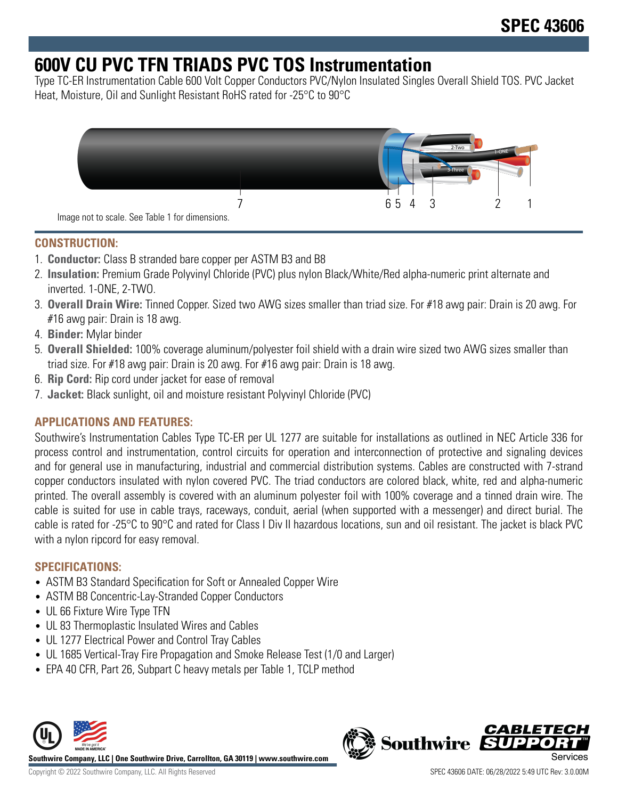# **600V CU PVC TFN TRIADS PVC TOS Instrumentation**

Type TC-ER Instrumentation Cable 600 Volt Copper Conductors PVC/Nylon Insulated Singles Overall Shield TOS. PVC Jacket Heat, Moisture, Oil and Sunlight Resistant RoHS rated for -25°C to 90°C



## **CONSTRUCTION:**

- 1. **Conductor:** Class B stranded bare copper per ASTM B3 and B8
- 2. **Insulation:** Premium Grade Polyvinyl Chloride (PVC) plus nylon Black/White/Red alpha-numeric print alternate and inverted. 1-ONE, 2-TWO.
- 3. **Overall Drain Wire:** Tinned Copper. Sized two AWG sizes smaller than triad size. For #18 awg pair: Drain is 20 awg. For #16 awg pair: Drain is 18 awg.
- 4. **Binder:** Mylar binder
- 5. **Overall Shielded:** 100% coverage aluminum/polyester foil shield with a drain wire sized two AWG sizes smaller than triad size. For #18 awg pair: Drain is 20 awg. For #16 awg pair: Drain is 18 awg.
- 6. **Rip Cord:** Rip cord under jacket for ease of removal
- 7. **Jacket:** Black sunlight, oil and moisture resistant Polyvinyl Chloride (PVC)

## **APPLICATIONS AND FEATURES:**

Southwire's Instrumentation Cables Type TC-ER per UL 1277 are suitable for installations as outlined in NEC Article 336 for process control and instrumentation, control circuits for operation and interconnection of protective and signaling devices and for general use in manufacturing, industrial and commercial distribution systems. Cables are constructed with 7-strand copper conductors insulated with nylon covered PVC. The triad conductors are colored black, white, red and alpha-numeric printed. The overall assembly is covered with an aluminum polyester foil with 100% coverage and a tinned drain wire. The cable is suited for use in cable trays, raceways, conduit, aerial (when supported with a messenger) and direct burial. The cable is rated for -25°C to 90°C and rated for Class I Div II hazardous locations, sun and oil resistant. The jacket is black PVC with a nylon ripcord for easy removal.

### **SPECIFICATIONS:**

- ASTM B3 Standard Specification for Soft or Annealed Copper Wire
- ASTM B8 Concentric-Lay-Stranded Copper Conductors
- UL 66 Fixture Wire Type TFN
- UL 83 Thermoplastic Insulated Wires and Cables
- UL 1277 Electrical Power and Control Tray Cables
- UL 1685 Vertical-Tray Fire Propagation and Smoke Release Test (1/0 and Larger)
- EPA 40 CFR, Part 26, Subpart C heavy metals per Table 1, TCLP method